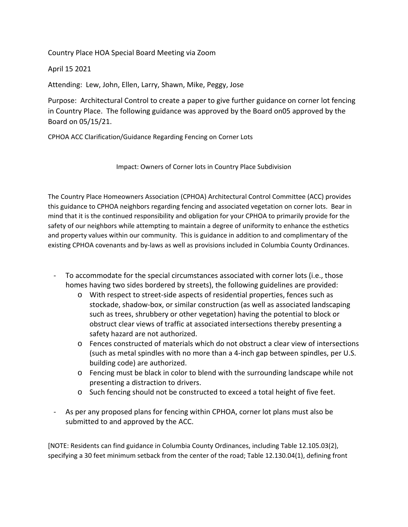Country Place HOA Special Board Meeting via Zoom

April 15 2021

Attending: Lew, John, Ellen, Larry, Shawn, Mike, Peggy, Jose

Purpose: Architectural Control to create a paper to give further guidance on corner lot fencing in Country Place. The following guidance was approved by the Board on05 approved by the Board on 05/15/21.

CPHOA ACC Clarification/Guidance Regarding Fencing on Corner Lots

Impact: Owners of Corner lots in Country Place Subdivision

The Country Place Homeowners Association (CPHOA) Architectural Control Committee (ACC) provides this guidance to CPHOA neighbors regarding fencing and associated vegetation on corner lots. Bear in mind that it is the continued responsibility and obligation for your CPHOA to primarily provide for the safety of our neighbors while attempting to maintain a degree of uniformity to enhance the esthetics and property values within our community. This is guidance in addition to and complimentary of the existing CPHOA covenants and by‐laws as well as provisions included in Columbia County Ordinances.

- ‐ To accommodate for the special circumstances associated with corner lots (i.e., those homes having two sides bordered by streets), the following guidelines are provided:
	- o With respect to street‐side aspects of residential properties, fences such as stockade, shadow‐box, or similar construction (as well as associated landscaping such as trees, shrubbery or other vegetation) having the potential to block or obstruct clear views of traffic at associated intersections thereby presenting a safety hazard are not authorized.
	- o Fences constructed of materials which do not obstruct a clear view of intersections (such as metal spindles with no more than a 4‐inch gap between spindles, per U.S. building code) are authorized.
	- o Fencing must be black in color to blend with the surrounding landscape while not presenting a distraction to drivers.
	- o Such fencing should not be constructed to exceed a total height of five feet.
- ‐ As per any proposed plans for fencing within CPHOA, corner lot plans must also be submitted to and approved by the ACC.

[NOTE: Residents can find guidance in Columbia County Ordinances, including Table 12.105.03(2), specifying a 30 feet minimum setback from the center of the road; Table 12.130.04(1), defining front